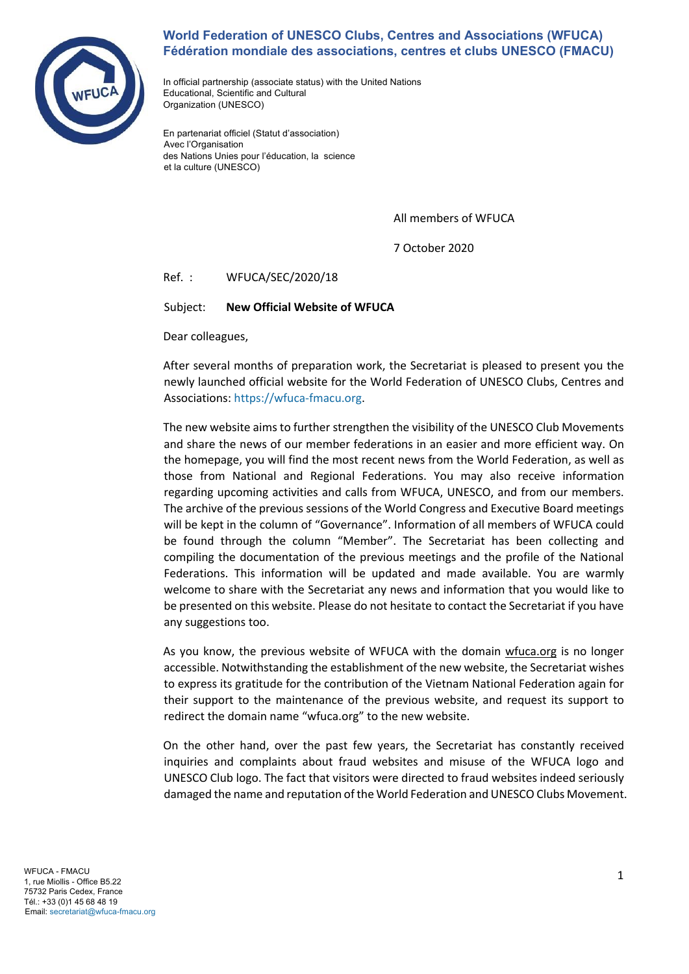

## **World Federation of UNESCO Clubs, Centres and Associations (WFUCA) Fédération mondiale des associations, centres et clubs UNESCO (FMACU)**

In official partnership (associate status) with the United Nations Educational, Scientific and Cultural Organization (UNESCO)

En partenariat officiel (Statut d'association) Avec l'Organisation des Nations Unies pour l'éducation, la science et la culture (UNESCO)

All members of WFUCA

7 October 2020

Ref. : WFUCA/SEC/2020/18

Subject: **New Official Website of WFUCA** 

Dear colleagues,

After several months of preparation work, the Secretariat is pleased to present you the newly launched official website for the World Federation of UNESCO Clubs, Centres and Associations: https://wfuca-fmacu.org.

The new website aims to further strengthen the visibility of the UNESCO Club Movements and share the news of our member federations in an easier and more efficient way. On the homepage, you will find the most recent news from the World Federation, as well as those from National and Regional Federations. You may also receive information regarding upcoming activities and calls from WFUCA, UNESCO, and from our members. The archive of the previous sessions of the World Congress and Executive Board meetings will be kept in the column of "Governance". Information of all members of WFUCA could be found through the column "Member". The Secretariat has been collecting and compiling the documentation of the previous meetings and the profile of the National Federations. This information will be updated and made available. You are warmly welcome to share with the Secretariat any news and information that you would like to be presented on this website. Please do not hesitate to contact the Secretariat if you have any suggestions too.

As you know, the previous website of WFUCA with the domain wfuca.org is no longer accessible. Notwithstanding the establishment of the new website, the Secretariat wishes to express its gratitude for the contribution of the Vietnam National Federation again for their support to the maintenance of the previous website, and request its support to redirect the domain name "wfuca.org" to the new website.

On the other hand, over the past few years, the Secretariat has constantly received inquiries and complaints about fraud websites and misuse of the WFUCA logo and UNESCO Club logo. The fact that visitors were directed to fraud websites indeed seriously damaged the name and reputation of the World Federation and UNESCO Clubs Movement.